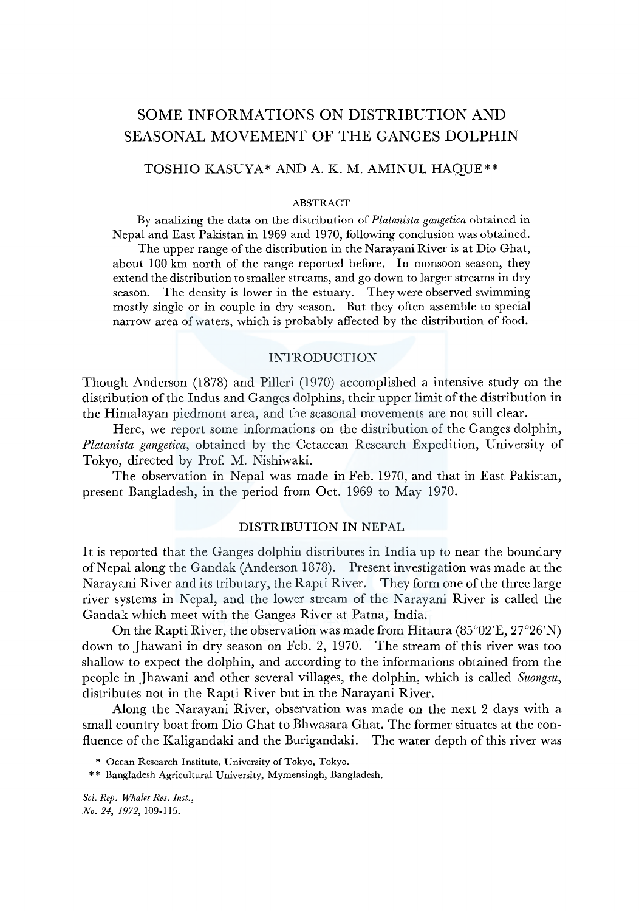# SOME INFORMATIONS ON DISTRIBUTION AND SEASONAL MOVEMENT OF THE GANGES DOLPHIN

# TOSHIO KASUYA\* AND A. K. M. AMINUL HAQUE\*\*

#### ABSTRACT

By analizing the data on the distribution of *Platanista gangetica* obtained in Nepal and East Pakistan in 1969 and 1970, following conclusion was obtained. The upper range of the distribution in the Narayani River is at Dio Ghat, about 100 km north of the range reported before. In monsoon season, they extend the distribution to smaller streams, and go down to larger streams in dry season. The density is lower in the estuary. They were observed swimming mostly single or in couple in dry season. But they often assemble to special narrow area of waters, which is probably affected by the distribution of food.

#### INTRODUCTION

Though Anderson (1878) and Pilleri (1970) accomplished a intensive study on the distribution of the Indus and Ganges dolphins, their upper limit of the distribution in the Himalayan piedmont area, and the seasonal movements are not still clear.

Here, we report some informations on the distribution of the Ganges dolphin, *Platanista gangetica,* obtained by the Cetacean Research Expedition, University of Tokyo, directed by Prof. M. Nishiwaki.

The observation in Nepal was made in Feb. 1970, and that in East Pakistan, present Bangladesh, in the period from Oct. 1969 to May 1970.

# DISTRIBUTION IN NEPAL

It is reported that the Ganges dolphin distributes in India up to near the boundary of Nepal along the Gandak (Anderson 1878). Present investigation was made at the Narayani River and its tributary, the Rapti River. They form one of the three large river systems in Nepal, and the lower stream of the Narayani River is called the Gandak which meet with the Ganges River at Patna, India.

On the Rapti River, the observation was made from Hitaura (85°02'E, 27°26'N) down to Jhawani in dry season on Feb. 2, 1970. The stream of this river was too shallow to expect the dolphin, and according to the informations obtained from the people in Jhawani and other several villages, the dolphin, which is called *Suongsu,*  distributes not in the Rapti River but in the Narayani River.

Along the Narayani River, observation was made on the next 2 days with a small country boat from Dio Ghat to Bhwasara Ghat. The former situates at the confluence of the Kaligandaki and the Burigandaki. The water depth of this river was

\* Ocean Research Institute, University of Tokyo, Tokyo.

\* \* Bangladesh Agricultural University, Mymensingh, Bangladesh.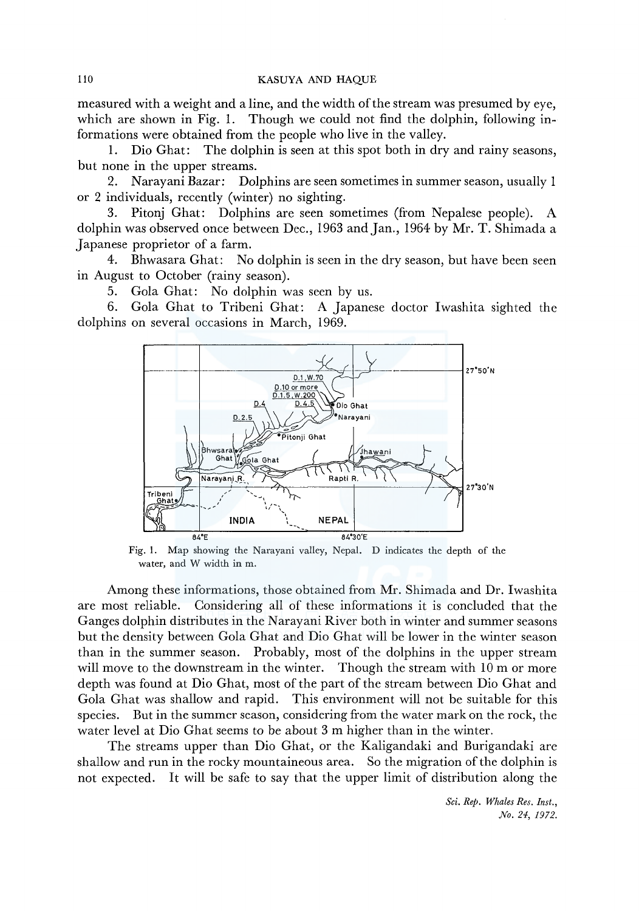measured with a weight and a line, and the width of the stream was presumed by eye, which are shown in Fig. 1. Though we could not find the dolphin, following informations were obtained from the people who live in the valley.

1. Dio Ghat: The dolphin is seen at this spot both in dry and rainy seasons, but none in the upper streams.

2. Narayani Bazar: Dolphins are seen sometimes in summer season, usually 1 or 2 individuals, recently (winter) no sighting.

3. Pitonj Ghat: Dolphins are seen sometimes (from Nepalese people). A dolphin was observed once between Dec., 1963 and Jan., 1964 by Mr. T. Shimada a Japanese proprietor of a farm.

4. Bhwasara Ghat: No dolphin is seen in the dry season, but have been seen in August to October (rainy season).

5. Gola Ghat: No dolphin was seen by us.

6. Gola Ghat to Tribeni Ghat: A Japanese doctor Iwashita sighted the dolphins on several occasions in March, 1969.



Fig. I. Map showing the Narayani valley, Nepal. D indicates the depth of the water, and W width in m.

Among these informations, those obtained from Mr. Shimada and Dr. Iwashita are most reliable. Considering all of these informations it is concluded that the Ganges dolphin distributes in the Narayani River both in winter and summer seasons but the density between Gola Ghat and Dio Ghat will be lower in the winter season than in the summer season. Probably, most of the dolphins in the upper stream will move to the downstream in the winter. Though the stream with 10 m or more depth was found at Dio Ghat, most of the part of the stream between Dio Ghat and Gola Ghat was shallow and rapid. This environment will not be suitable for this species. But in the summer season, considering from the water mark on the rock, the water level at Dio Ghat seems to be about 3 m higher than in the winter.

The streams upper than Dio Ghat, or the Kaligandaki and Burigandaki are shallow and run in the rocky mountaineous area. So the migration of the dolphin is not expected. It will be safe to say that the upper limit of distribution along the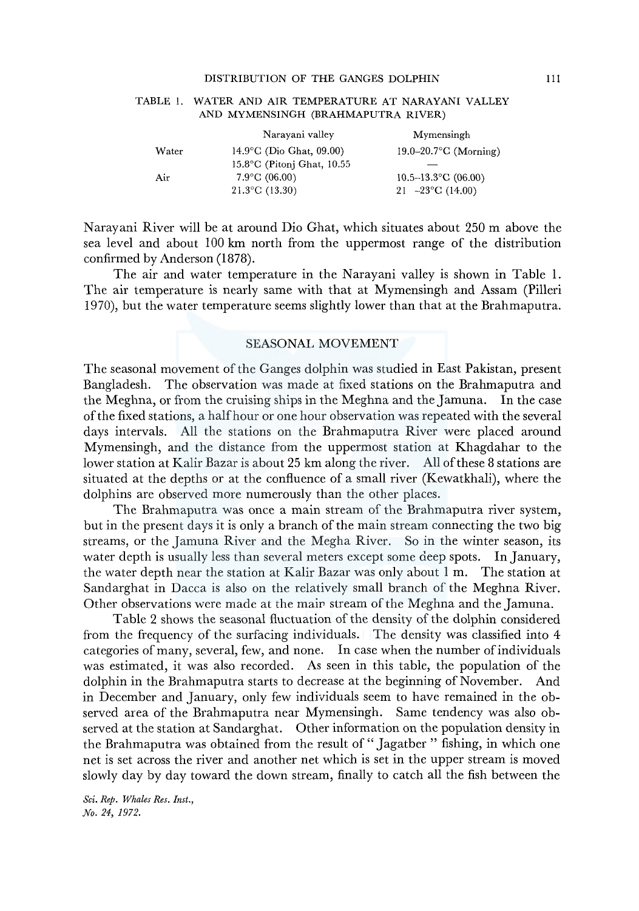#### DISTRIBUTION OF THE GANGES DOLPHIN

|       | Narayani valley                      | Mymensingh                          |
|-------|--------------------------------------|-------------------------------------|
| Water | $14.9^{\circ}$ C (Dio Ghat, 09.00)   | 19.0–20.7 $\textdegree$ C (Morning) |
|       | $15.8^{\circ}$ C (Pitoni Ghat, 10.55 |                                     |
| Air   | $7.9^{\circ}$ C (06.00)              | $10.5 - 13.3$ °C (06.00)            |
|       | $21.3$ °C (13.30)                    | 21 $-23$ °C (14.00)                 |

#### TABLE 1. WATER AND AIR TEMPERATURE AT NARAYAN! VALLEY AND MYMENSINGH (BRAHMAPUTRA RIVER)

Narayani River will be at around Dio Ghat, which situates about 250 m above the sea level and about 100 km north from the uppermost range of the distribution confirmed by Anderson (1878).

The air and water temperature in the Narayani valley is shown in Table 1. The air temperature is nearly same with that at Mymensingh and Assam (Pilleri 1970), but the water temperature seems slightly lower than that at the Brahmaputra.

# SEASONAL MOVEMENT

The seasonal movement of the Ganges dolphin was studied in East Pakistan, present Bangladesh. The observation was made at fixed stations on the Brahmaputra and the Meghna, or from the cruising ships in the Meghna and the Jamuna. In the case of the fixed stations, a half hour or one hour observation was repeated with the several days intervals. All the stations on the Brahmaputra River were placed around Mymensingh, and the distance from the uppermost station at Khagdahar to the lower station at Kalir Bazar is about 25 km along the river. All of these 8 stations are situated at the depths or at the confluence of a small river (Kewatkhali), where the dolphins are observed more numerously than the other places.

The Brahmaputra was once a main stream of the Brahmaputra river system, but in the present days it is only a branch of the main stream connecting the two big streams, or the Jamuna River and the Megha River. So in the winter season, its water depth is usually less than several meters except some deep spots. In January, the water depth near the station at Kalir Bazar was only about 1 m. The station at Sandarghat in Dacca is also on the relatively small branch of the Meghna River. Other observations were made at the mair stream of the Meghna and the Jamuna.

Table 2 shows the seasonal fluctuation of the density of the dolphin considered from the frequency of the surfacing individuals. The density was classified into 4 categories of many, several, few, and none. In case when the number of individuals was estimated, it was also recorded. As seen in this table, the population of the dolphin in the Brahmaputra starts to decrease at the beginning of November. And in December and January, only few individuals seem to have remained in the observed area of the Brahmaputra near Mymensingh. Same tendency was also observed at the station at Sandarghat. Other information on the population density in the Brahmaputra was obtained from the result of "Jagatber" fishing, in which one net is set across the river and another net which is set in the upper stream is moved slowly day by day toward the down stream, finally to catch all the fish between the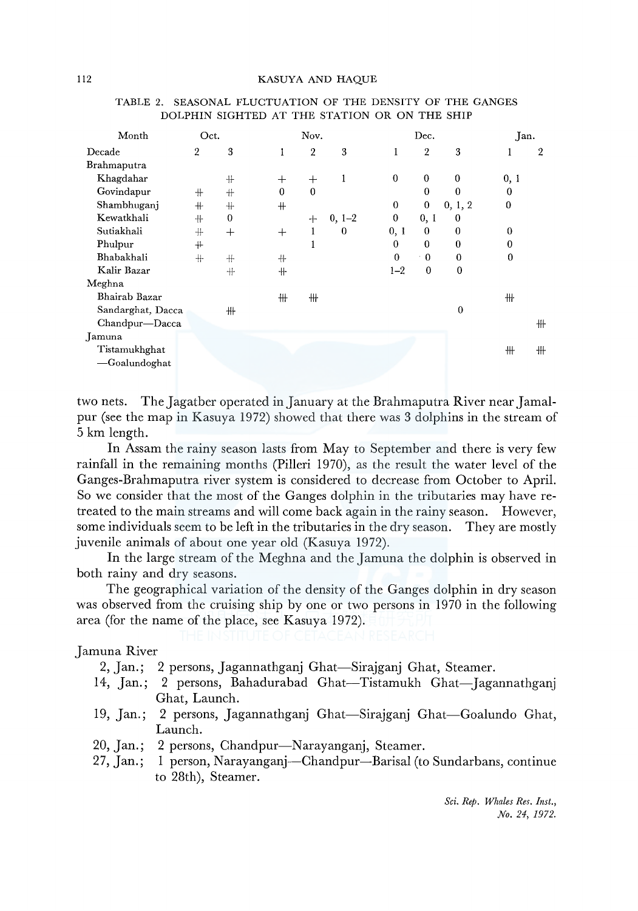| Month             | Oct.           |          | Nov.     |                |          |                  | Jan.           |                  |          |                |
|-------------------|----------------|----------|----------|----------------|----------|------------------|----------------|------------------|----------|----------------|
| Decade            | $\overline{2}$ | 3        | 1        | $\overline{2}$ | 3        | 1                | $\overline{2}$ | 3                | 1        | $\overline{2}$ |
| Brahmaputra       |                |          |          |                |          |                  |                |                  |          |                |
| Khagdahar         |                | $+$      | $^+$     | $^{+}$         | 1        | $\boldsymbol{0}$ | $\bf{0}$       | $\bf{0}$         | 0, 1     |                |
| Govindapur        | $+$            | $+$      | $\theta$ | $\mathbf{0}$   |          |                  | $\bf{0}$       | $\bf{0}$         | $\theta$ |                |
| Shambhuganj       | $+$            | $+$      | $+$      |                |          | $\mathbf 0$      | 0              | 0, 1, 2          | 0        |                |
| Kewatkhali        | $+$            | $\Omega$ |          | ⊹              | $0, 1-2$ | $\boldsymbol{0}$ | 0, 1           | $\bf{0}$         |          |                |
| Sutiakhali        | $+$            | $^{+}$   | $^{+}$   | 1              | $\bf{0}$ | 0, 1             | 0              | $\mathbf{0}$     | $\bf{0}$ |                |
| Phulpur           | $+$            |          |          |                |          | 0                | $\mathbf{0}$   | $\boldsymbol{0}$ | $\bf{0}$ |                |
| Bhabakhali        | $+$            | $+$      | ╫        |                |          | $\bf{0}$         | $\theta$       | $\theta$         | $\bf{0}$ |                |
| Kalir Bazar       |                | $+$      | $+$      |                |          | $1 - 2$          | $\bf{0}$       | $\mathbf{0}$     |          |                |
| Meghna            |                |          |          |                |          |                  |                |                  |          |                |
| Bhairab Bazar     |                |          | ₩        | ╫              |          |                  |                |                  | ╫        |                |
| Sandarghat, Dacca |                | ╫        |          |                |          |                  |                | $\mathbf{0}$     |          |                |
| Chandpur-Dacca    |                |          |          |                |          |                  |                |                  |          | 卅              |
| Jamuna            |                |          |          |                |          |                  |                |                  |          |                |
| Tistamukhghat     |                |          |          |                |          |                  |                |                  | ╫        | ╫              |
| -Goalundoghat     |                |          |          |                |          |                  |                |                  |          |                |
|                   |                |          |          |                |          |                  |                |                  |          |                |

# TABLE 2. SEASONAL FLUCTUATION OF THE DENSITY OF THE GANGES DOLPHIN SIGHTED AT THE STATION OR ON THE SHIP

two nets. The Jagatber operated in January at the Brahmaputra River near Jamalpur (see the map in Kasuya 1972) showed that there was 3 dolphins in the stream of 5 km length.

In Assam the rainy season lasts from May to September and there is very few rainfall in the remaining months (Pilleri 1970), as the result the water level of the Ganges-Brahmaputra river system is considered to decrease from October to April. So we consider that the most of the Ganges dolphin in the tributaries may have retreated to the main streams and will come back again in the rainy season. However, some individuals seem to be left in the tributaries in the dry season. They are mostly juvenile animals of about one year old (Kasuya 1972).

In the large stream of the Meghna and the Jamuna the dolphin is observed in both rainy and dry seasons.

The geographical variation of the density of the Ganges dolphin in dry season was observed from the cruising ship by one or two persons in 1970 in the following area (for the name of the place, see Kasuya 1972).

Jamuna River

2, Jan.; 2 persons, Jagannathganj Ghat-Sirajganj Ghat, Steamer.

- 14, Jan.; 2 persons, Bahadurabad Ghat-Tistamukh Ghat-Jagannathgani Ghat, Launch.
- 19, Jan.; 2 persons, Jagannathganj Ghat-Sirajganj Ghat-Goalundo Ghat, Launch.
- 20, Jan.; 2 persons, Chandpur-Narayanganj, Steamer.
- 27, Jan.; 1 person, Narayanganj-Chandpur-Barisal (to Sundarbans, continue to 28th), Steamer.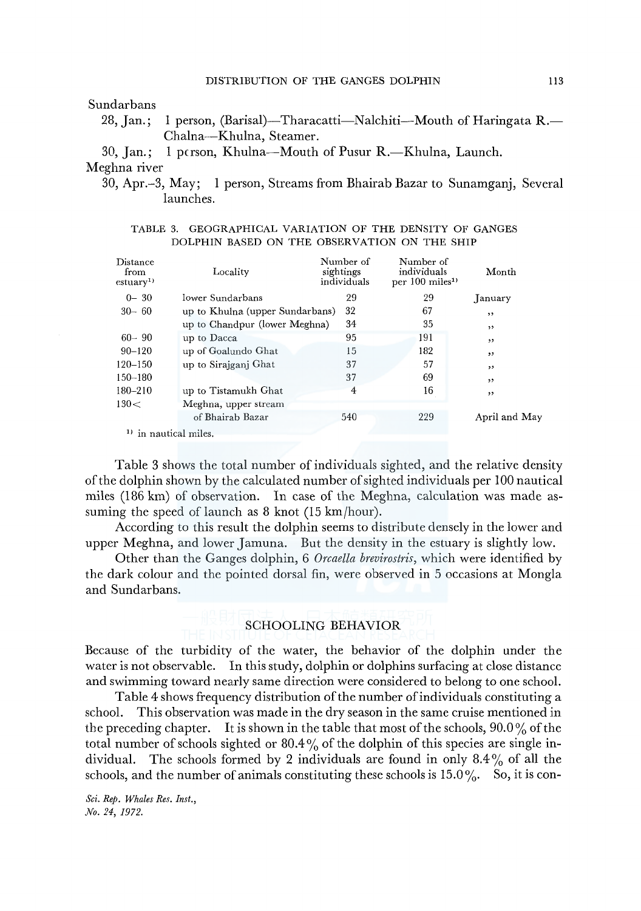## Sundarbans

28, Jan.; 1 person, (Barisal)—Tharacatti—N alchiti—M outh of Haring ata R. Chalna-Khulna, Steamer.

30, Jan.; 1 pcrson, Khulna--Mouth of Pusur R.-Khulna, Launch. Meghna river

30, Apr.-3, May; 1 person, Streams from Bhairab Bazar to Sunamganj, Several launches.

|  |                                              |  |  |  |  | TABLE 3. GEOGRAPHICAL VARIATION OF THE DENSITY OF GANGES |
|--|----------------------------------------------|--|--|--|--|----------------------------------------------------------|
|  | DOLPHIN BASED ON THE OBSERVATION ON THE SHIP |  |  |  |  |                                                          |

| Distance<br>from<br>estuary <sup>1</sup> | Locality                        | Number of<br>sightings<br>individuals | Number of<br>individuals<br>per 100 miles <sup>1)</sup> | Month         |
|------------------------------------------|---------------------------------|---------------------------------------|---------------------------------------------------------|---------------|
| $0 - 30$                                 | lower Sundarbans                | 29                                    | 29                                                      | January       |
| $30 - 60$                                | up to Khulna (upper Sundarbans) | 32                                    | 67                                                      | , ,           |
|                                          | up to Chandpur (lower Meghna)   | 34                                    | 35                                                      | , ,           |
| $60 - 90$                                | up to Dacca                     | 95                                    | 191                                                     | , ,           |
| $90 - 120$                               | up of Goalundo Ghat             | 15                                    | 182                                                     | , ,           |
| $120 - 150$                              | up to Sirajganj Ghat            | 37                                    | 57                                                      | , ,           |
| $150 - 180$                              |                                 | 37                                    | 69                                                      | , ,           |
| 180-210                                  | up to Tistamukh Ghat            | 4                                     | 16                                                      | ,,            |
| 130<                                     | Meghna, upper stream            |                                       |                                                         |               |
|                                          | of Bhairab Bazar                | 540                                   | 229                                                     | April and May |

<sup>1)</sup> in nautical miles.

Table 3 shows the total number of individuals sighted, and the relative density of the dolphin shown by the calculated number of sighted individuals per 100 nautical miles (186 km) of observation. In case of the Meghna, calculation was made assuming the speed of launch as 8 knot (15 km/hour).

According to this result the dolphin seems to distribute densely in the lower and upper Meghna, and lower Jamuna. But the density in the estuary is slightly low.

Other than the Ganges dolphin, 6 *Orcaella brevirostris,* which were identified by the dark colour and the pointed dorsal fin, were observed in 5 occasions at Mongla and Sundarbans.

# SCHOOLING BEHAVIOR

Because of the turbidity of the water, the behavior of the dolphin under the water is not observable. In this study, dolphin or dolphins surfacing at close distance and swimming toward nearly same direction were considered to belong to one school.

Table 4 shows frequency distribution of the number of individuals constituting a school. This observation was made in the dry season in the same cruise mentioned in the preceding chapter. It is shown in the table that most of the schools, 90.0 % of the total number of schools sighted or  $80.4\%$  of the dolphin of this species are single individual. The schools formed by 2 individuals are found in only  $8.4\%$  of all the schools, and the number of animals constituting these schools is  $15.0\%$ . So, it is con-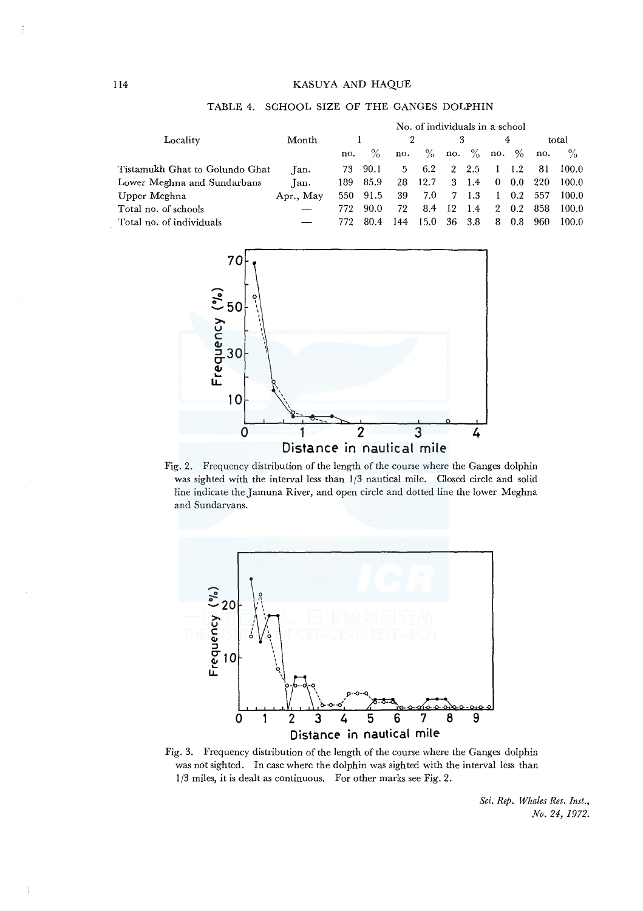## 114 KASUYA AND HAQUE

|                                |           | No. of individuals in a school |               |     |      |    |               |                |         |     |       |  |
|--------------------------------|-----------|--------------------------------|---------------|-----|------|----|---------------|----------------|---------|-----|-------|--|
| Locality                       | Month     |                                |               |     |      |    |               |                | 4       |     | total |  |
|                                |           | no.                            | $\frac{0}{2}$ | no. | $\%$ |    | no. $\%$      | no.            | $\%$    | no. | $\%$  |  |
| Tistamukh Ghat to Golundo Ghat | Tan.      | 73.                            | 90.1          | 5.  | 6.2  |    | $2\;\;2.5$    |                | 1.2     | -81 | 100.0 |  |
| Lower Meghna and Sundarbans    | Tan.      | 189.                           | 85.9          | 28  | 12.7 |    | $3 \quad 1.4$ | $\bf{0}$       | $0.0\,$ | 220 | 100.0 |  |
| Upper Meghna                   | Apr., May | 550                            | 91.5          | 39  | 7.0  |    | 7 1.3         |                | 0.2     | 557 | 100.0 |  |
| Total no. of schools           |           | 772                            | 90.0          | 72  | 8.4  | 12 | 1.4           | $\overline{2}$ | 0.2     | 858 | 100.0 |  |
| Total no. of individuals       |           | 772                            | 80.4          | 144 | 15.0 | 36 | 3.8           | 8              | 0.8     | 960 | 100.0 |  |



Fig. 2. Frequency distribution of the length of the course where the Ganges dolphin was sighted with the interval less than 1/3 nautical mile. Closed circle and solid line indicate theJamuna River, and open circle and dotted line the lower Meghna and Sundarvans.



Fig. 3. Frequency distribution of the length of the course where the Ganges dolphin was not sighted. In case where the dolphin was sighted with the interval less than 1/3 miles, it is dealt as continuous. For other marks see Fig. 2.

*Sci. Rep. Whales Res. Inst., No. 24, 1972.* 

TABLE 4. SCHOOL SIZE OF THE GANGES DOLPHIN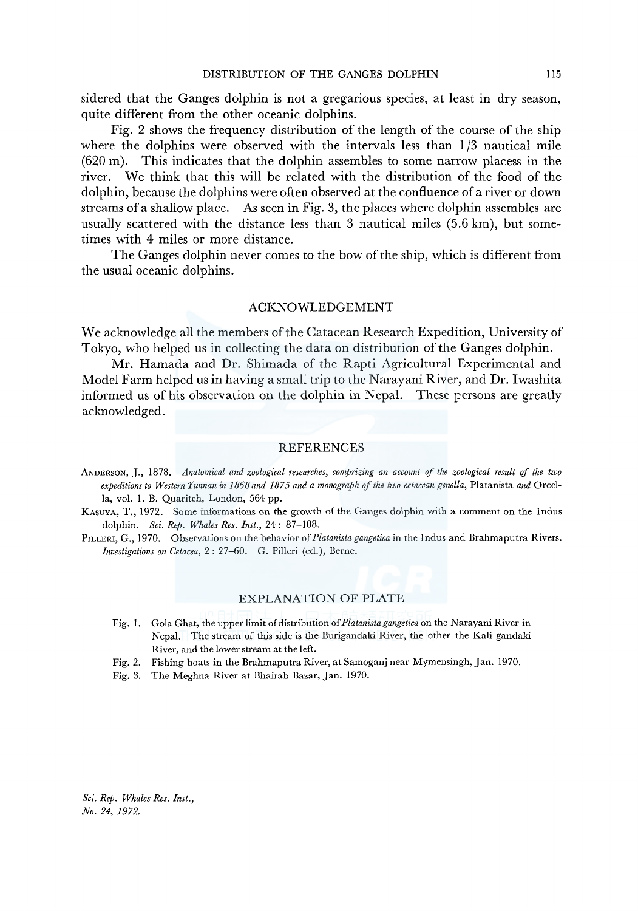sidered that the Ganges dolphin is not a gregarious species, at least in dry season, quite different from the other oceanic dolphins.

Fig. 2 shows the frequency distribution of the length of the course of the ship where the dolphins were observed with the intervals less than  $1/3$  nautical mile (620 m). This indicates that the dolphin assembles to some narrow placess in the river. We think that this will be related with the distribution of the food of the dolphin, because the dolphins were often observed at the confluence of a river or down streams of a shallow place. As seen in Fig. 3, the places where dolphin assembles are usually scattered with the distance less than 3 nautical miles (5.6 km), but sometimes with 4 miles or more distance.

The Ganges dolphin never comes to the bow of the ship, which is different from the usual oceanic dolphins.

#### ACKNOWLEDGEMENT

We acknowledge all the members of the Catacean Research Expedition, University of Tokyo, who helped us in collecting the data on distribution of the Ganges dolphin.

Mr. Hamada and Dr. Shimada of the Rapti Agricultural Experimental and Model Farm helped us in having a small trip to the Narayani River, and Dr. Iwashita informed us of his observation on the dolphin in Nepal. These persons are greatly acknowledged.

#### REFERENCES

- ANDERSON, J., 1878. *Anatomical and zoological researches, comprizing an account of the zoological result of the two expeditions to Western Yunnan in 1868 and 1875 and a monograph of the two cetacean genella,* Platanista *and* Orcella, vol. 1. B. Quaritch, London, 564 pp.
- KASUYA, T., 1972. Some informations on the growth of the Ganges dolphin with a comment on the Indus dolphin. *Sci. Rep. Whales Res. Inst.,* 24: 87-108.
- PILLERI, G., 1970. Observations on the behavior of *Platanista gangetica* in the Indus and Brahmaputra Rivers. *Investigations on Cetacea,* 2: 27-60. G. Pilleri (ed.), Berne.

#### EXPLANATION OF PLATE

- Fig. 1. Gola Ghat, the upper limit of distribution of *Platanistagangetica* on the Narayani River in Nepal. The stream of this side is the Burigandaki River, the other the Kali gandaki River, and the lower stream at the left.
- Fig. 2. Fishing boats in the Brahmaputra River, at Samoganj near Mymensingh, Jan. 1970.
- Fig. 3. The Meghna River at Bhairab Bazar, Jan. 1970.